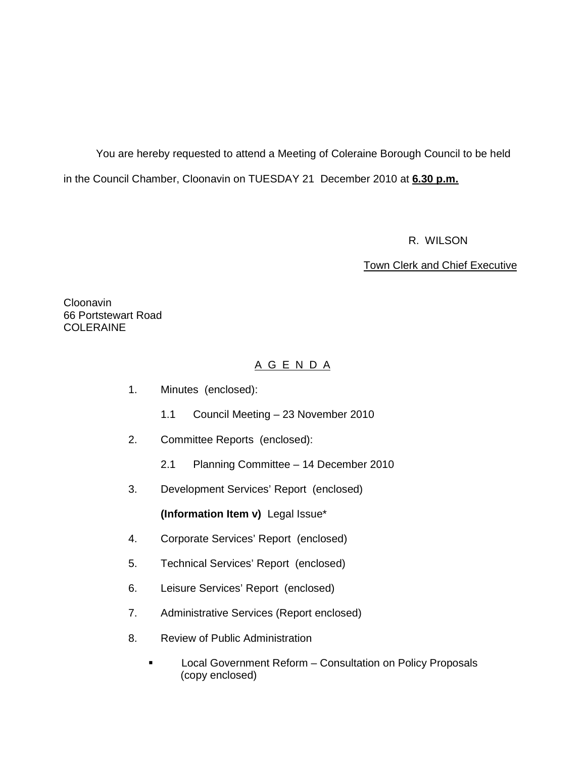You are hereby requested to attend a Meeting of Coleraine Borough Council to be held in the Council Chamber, Cloonavin on TUESDAY 21 December 2010 at **6.30 p.m.** 

R. WILSON

Town Clerk and Chief Executive

Cloonavin 66 Portstewart Road COLERAINE

# A G E N D A

- 1. Minutes (enclosed):
	- 1.1 Council Meeting 23 November 2010
- 2. Committee Reports (enclosed):
	- 2.1 Planning Committee 14 December 2010
- 3. Development Services' Report (enclosed)

**(Information Item v)** Legal Issue\*

- 4. Corporate Services' Report (enclosed)
- 5. Technical Services' Report (enclosed)
- 6. Leisure Services' Report (enclosed)
- 7. Administrative Services (Report enclosed)
- 8. Review of Public Administration
	- **Local Government Reform Consultation on Policy Proposals** (copy enclosed)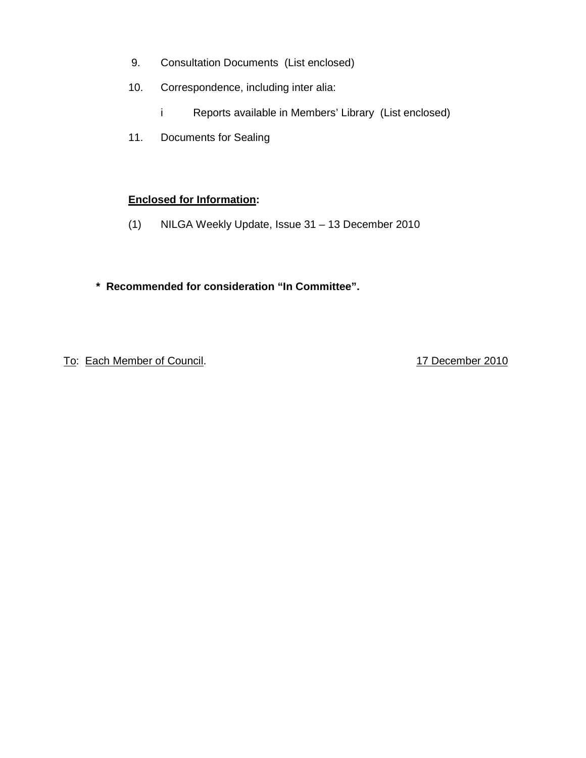- 9. Consultation Documents (List enclosed)
- 10. Correspondence, including inter alia:
	- i Reports available in Members' Library (List enclosed)
- 11. Documents for Sealing

# **Enclosed for Information:**

- (1) NILGA Weekly Update, Issue 31 13 December 2010
- **\* Recommended for consideration "In Committee".**

To: Each Member of Council. 17 December 2010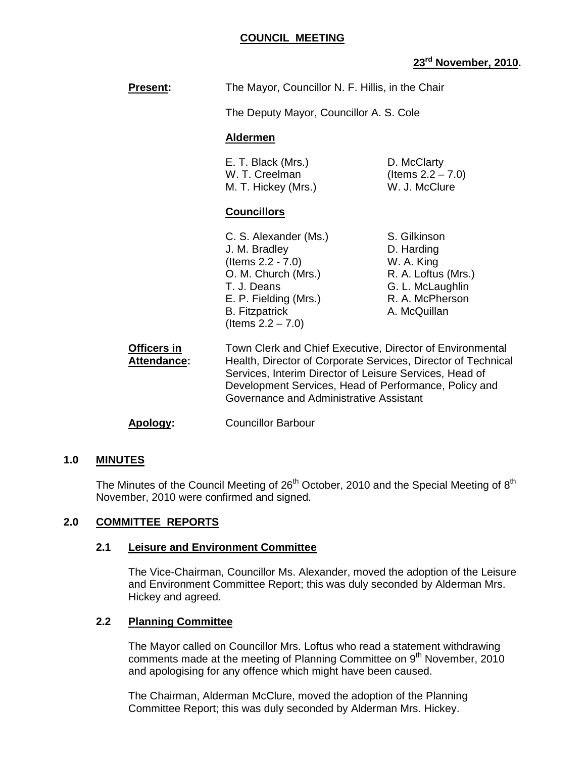#### **COUNCIL MEETING**

# **23rd November, 2010.**

|                                   |                                                                                                                                                                                                                                                | 23 NOVEMDER, 2010                                                                                                      |
|-----------------------------------|------------------------------------------------------------------------------------------------------------------------------------------------------------------------------------------------------------------------------------------------|------------------------------------------------------------------------------------------------------------------------|
| <b>Present:</b>                   | The Mayor, Councillor N. F. Hillis, in the Chair                                                                                                                                                                                               |                                                                                                                        |
|                                   | The Deputy Mayor, Councillor A. S. Cole                                                                                                                                                                                                        |                                                                                                                        |
|                                   | <b>Aldermen</b>                                                                                                                                                                                                                                |                                                                                                                        |
|                                   | E. T. Black (Mrs.)<br>W. T. Creelman<br>M. T. Hickey (Mrs.)                                                                                                                                                                                    | D. McClarty<br>(Items $2.2 - 7.0$ )<br>W. J. McClure                                                                   |
|                                   | <b>Councillors</b>                                                                                                                                                                                                                             |                                                                                                                        |
|                                   | C. S. Alexander (Ms.)<br>J. M. Bradley<br>(Items $2.2 - 7.0$ )<br>O. M. Church (Mrs.)<br>T. J. Deans<br>E. P. Fielding (Mrs.)<br><b>B.</b> Fitzpatrick<br>(Items $2.2 - 7.0$ )                                                                 | S. Gilkinson<br>D. Harding<br>W. A. King<br>R. A. Loftus (Mrs.)<br>G. L. McLaughlin<br>R. A. McPherson<br>A. McQuillan |
| Officers in<br><b>Attendance:</b> | Town Clerk and Chief Executive, Director of Environmental<br>Health, Director of Corporate Services, Director of Technical<br>Services, Interim Director of Leisure Services, Head of<br>Development Services, Head of Performance, Policy and |                                                                                                                        |

#### **Apology:** Councillor Barbour

#### **1.0 MINUTES**

The Minutes of the Council Meeting of 26<sup>th</sup> October, 2010 and the Special Meeting of  $8<sup>th</sup>$ November, 2010 were confirmed and signed.

Governance and Administrative Assistant

## **2.0 COMMITTEE REPORTS**

#### **2.1 Leisure and Environment Committee**

The Vice-Chairman, Councillor Ms. Alexander, moved the adoption of the Leisure and Environment Committee Report; this was duly seconded by Alderman Mrs. Hickey and agreed.

# **2.2 Planning Committee**

The Mayor called on Councillor Mrs. Loftus who read a statement withdrawing comments made at the meeting of Planning Committee on  $9<sup>th</sup>$  November, 2010 and apologising for any offence which might have been caused.

The Chairman, Alderman McClure, moved the adoption of the Planning Committee Report; this was duly seconded by Alderman Mrs. Hickey.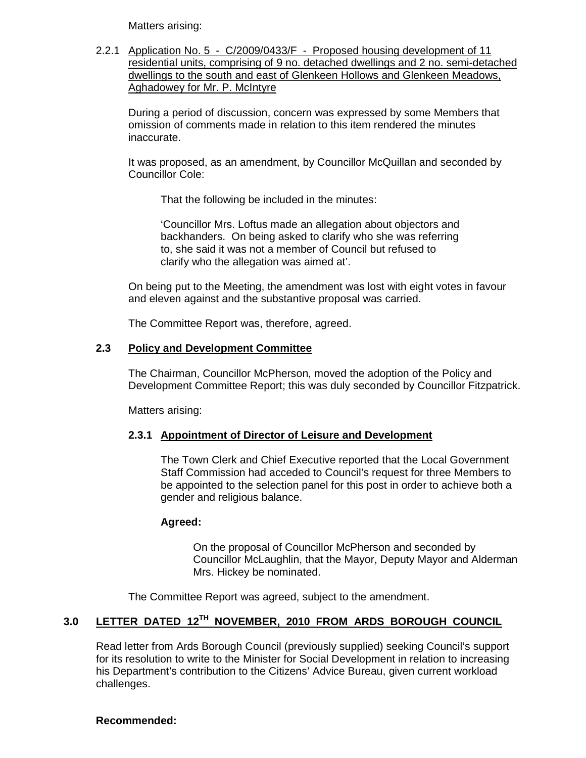Matters arising:

2.2.1 Application No. 5 - C/2009/0433/F - Proposed housing development of 11 residential units, comprising of 9 no. detached dwellings and 2 no. semi-detached dwellings to the south and east of Glenkeen Hollows and Glenkeen Meadows, Aghadowey for Mr. P. McIntyre

 During a period of discussion, concern was expressed by some Members that omission of comments made in relation to this item rendered the minutes inaccurate.

 It was proposed, as an amendment, by Councillor McQuillan and seconded by Councillor Cole:

That the following be included in the minutes:

 'Councillor Mrs. Loftus made an allegation about objectors and backhanders. On being asked to clarify who she was referring to, she said it was not a member of Council but refused to clarify who the allegation was aimed at'.

 On being put to the Meeting, the amendment was lost with eight votes in favour and eleven against and the substantive proposal was carried.

The Committee Report was, therefore, agreed.

#### **2.3 Policy and Development Committee**

 The Chairman, Councillor McPherson, moved the adoption of the Policy and Development Committee Report; this was duly seconded by Councillor Fitzpatrick.

Matters arising:

#### **2.3.1 Appointment of Director of Leisure and Development**

 The Town Clerk and Chief Executive reported that the Local Government Staff Commission had acceded to Council's request for three Members to be appointed to the selection panel for this post in order to achieve both a gender and religious balance.

#### **Agreed:**

On the proposal of Councillor McPherson and seconded by Councillor McLaughlin, that the Mayor, Deputy Mayor and Alderman Mrs. Hickey be nominated.

The Committee Report was agreed, subject to the amendment.

# **3.0 LETTER DATED 12TH NOVEMBER, 2010 FROM ARDS BOROUGH COUNCIL**

 Read letter from Ards Borough Council (previously supplied) seeking Council's support for its resolution to write to the Minister for Social Development in relation to increasing his Department's contribution to the Citizens' Advice Bureau, given current workload challenges.

#### **Recommended:**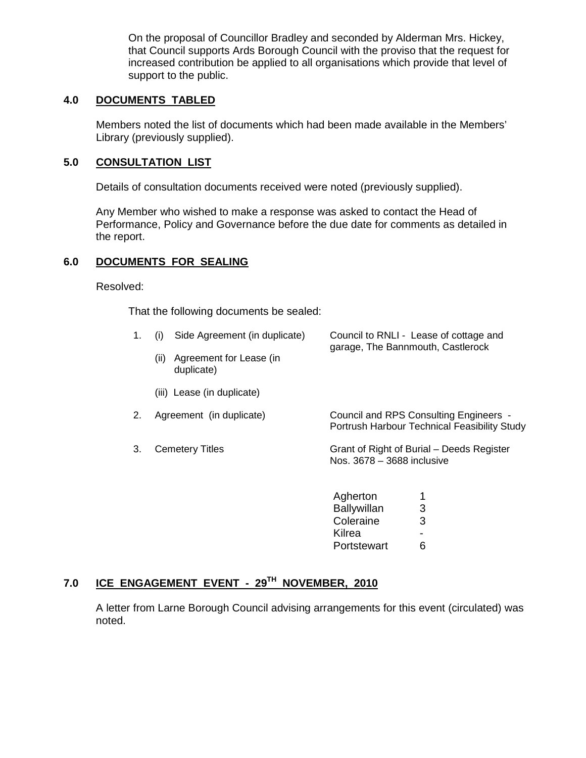On the proposal of Councillor Bradley and seconded by Alderman Mrs. Hickey, that Council supports Ards Borough Council with the proviso that the request for increased contribution be applied to all organisations which provide that level of support to the public.

# **4.0 DOCUMENTS TABLED**

 Members noted the list of documents which had been made available in the Members' Library (previously supplied).

## **5.0 CONSULTATION LIST**

Details of consultation documents received were noted (previously supplied).

 Any Member who wished to make a response was asked to contact the Head of Performance, Policy and Governance before the due date for comments as detailed in the report.

# **6.0 DOCUMENTS FOR SEALING**

Resolved:

That the following documents be sealed:

| 1. | Side Agreement (in duplicate)<br>(i)          | Council to RNLI - Lease of cottage and<br>garage, The Bannmouth, Castlerock            |
|----|-----------------------------------------------|----------------------------------------------------------------------------------------|
|    | Agreement for Lease (in<br>(ii)<br>duplicate) |                                                                                        |
|    | (iii) Lease (in duplicate)                    |                                                                                        |
| 2. | Agreement (in duplicate)                      | Council and RPS Consulting Engineers -<br>Portrush Harbour Technical Feasibility Study |
| 3. | <b>Cemetery Titles</b>                        | Grant of Right of Burial – Deeds Register<br>Nos. 3678 – 3688 inclusive                |
|    |                                               | Agherton                                                                               |
|    |                                               | 3<br><b>Ballywillan</b>                                                                |
|    |                                               | Coleraine<br>3                                                                         |
|    |                                               | Kilrea                                                                                 |

Portstewart 6

# **7.0 ICE ENGAGEMENT EVENT - 29TH NOVEMBER, 2010**

A letter from Larne Borough Council advising arrangements for this event (circulated) was noted.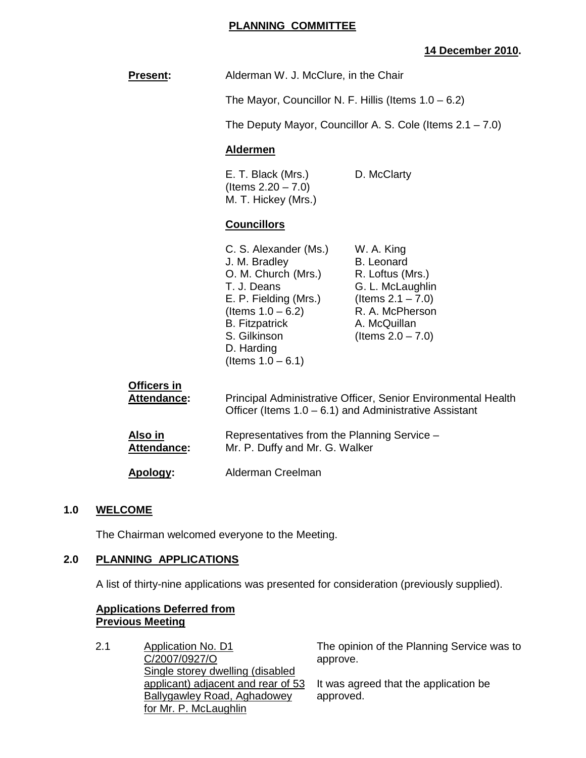## **PLANNING COMMITTEE**

# **14 December 2010.**

| <b>Present:</b>            | Alderman W. J. McClure, in the Chair                                                                                                                                                                         |                                                                                                                                                            |
|----------------------------|--------------------------------------------------------------------------------------------------------------------------------------------------------------------------------------------------------------|------------------------------------------------------------------------------------------------------------------------------------------------------------|
|                            | The Mayor, Councillor N. F. Hillis (Items $1.0 - 6.2$ )                                                                                                                                                      |                                                                                                                                                            |
|                            | The Deputy Mayor, Councillor A. S. Cole (Items $2.1 - 7.0$ )                                                                                                                                                 |                                                                                                                                                            |
|                            | <b>Aldermen</b>                                                                                                                                                                                              |                                                                                                                                                            |
|                            | E. T. Black (Mrs.)<br>(Items $2.20 - 7.0$ )<br>M. T. Hickey (Mrs.)                                                                                                                                           | D. McClarty                                                                                                                                                |
|                            | <b>Councillors</b>                                                                                                                                                                                           |                                                                                                                                                            |
|                            | C. S. Alexander (Ms.)<br>J. M. Bradley<br>O. M. Church (Mrs.)<br>T. J. Deans<br>E. P. Fielding (Mrs.)<br>(Items $1.0 - 6.2$ )<br><b>B.</b> Fitzpatrick<br>S. Gilkinson<br>D. Harding<br>(Items $1.0 - 6.1$ ) | W. A. King<br><b>B.</b> Leonard<br>R. Loftus (Mrs.)<br>G. L. McLaughlin<br>(Items $2.1 - 7.0$ )<br>R. A. McPherson<br>A. McQuillan<br>(Items $2.0 - 7.0$ ) |
| Officers in<br>Attendance: | Principal Administrative Officer, Senior Environmental Health<br>Officer (Items $1.0 - 6.1$ ) and Administrative Assistant                                                                                   |                                                                                                                                                            |
| Also in<br>Attendance:     | Representatives from the Planning Service -<br>Mr. P. Duffy and Mr. G. Walker                                                                                                                                |                                                                                                                                                            |
| Apology:                   | Alderman Creelman                                                                                                                                                                                            |                                                                                                                                                            |
|                            |                                                                                                                                                                                                              |                                                                                                                                                            |

#### **1.0 WELCOME**

The Chairman welcomed everyone to the Meeting.

# **2.0 PLANNING APPLICATIONS**

A list of thirty-nine applications was presented for consideration (previously supplied).

#### **Applications Deferred from Previous Meeting**

2.1 Application No. D1 C/2007/0927/O Single storey dwelling (disabled applicant) adjacent and rear of 53 Ballygawley Road, Aghadowey for Mr. P. McLaughlin The opinion of the Planning Service was to approve. It was agreed that the application be approved.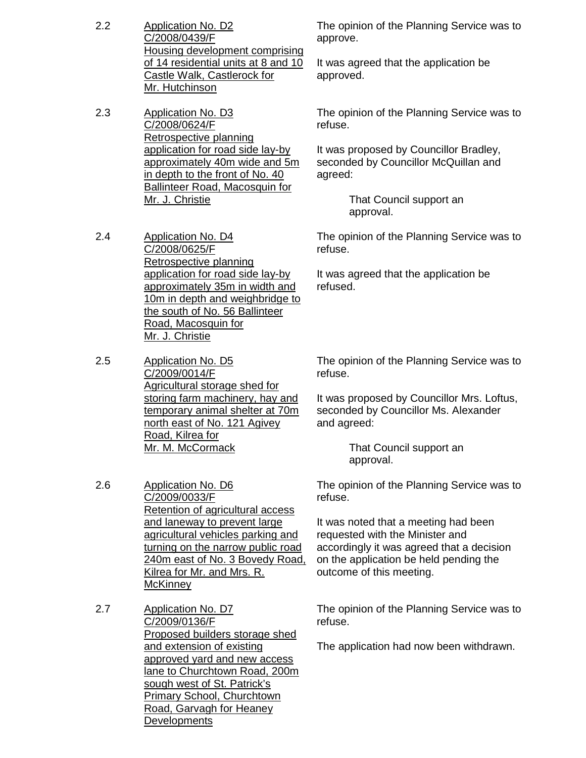- 2.2 Application No. D2 C/2008/0439/F Housing development comprising of 14 residential units at 8 and 10 Castle Walk, Castlerock for Mr. Hutchinson
- 2.3 Application No. D3 C/2008/0624/F Retrospective planning application for road side lay-by approximately 40m wide and 5m in depth to the front of No. 40 Ballinteer Road, Macosquin for Mr. J. Christie
- 2.4 Application No. D4 C/2008/0625/F Retrospective planning application for road side lay-by approximately 35m in width and 10m in depth and weighbridge to the south of No. 56 Ballinteer Road, Macosquin for Mr. J. Christie
- 2.5 Application No. D5 C/2009/0014/F Agricultural storage shed for storing farm machinery, hay and temporary animal shelter at 70m north east of No. 121 Agivey Road, Kilrea for Mr. M. McCormack
- 2.6 Application No. D6 C/2009/0033/F Retention of agricultural access and laneway to prevent large agricultural vehicles parking and turning on the narrow public road 240m east of No. 3 Bovedy Road, Kilrea for Mr. and Mrs. R. **McKinney**
- 2.7 Application No. D7 C/2009/0136/F Proposed builders storage shed and extension of existing approved yard and new access lane to Churchtown Road, 200m sough west of St. Patrick's Primary School, Churchtown Road, Garvagh for Heaney **Developments**

The opinion of the Planning Service was to approve.

It was agreed that the application be approved.

The opinion of the Planning Service was to refuse.

It was proposed by Councillor Bradley, seconded by Councillor McQuillan and agreed:

> That Council support an approval.

The opinion of the Planning Service was to refuse.

It was agreed that the application be refused.

The opinion of the Planning Service was to refuse.

It was proposed by Councillor Mrs. Loftus, seconded by Councillor Ms. Alexander and agreed:

> That Council support an approval.

The opinion of the Planning Service was to refuse.

It was noted that a meeting had been requested with the Minister and accordingly it was agreed that a decision on the application be held pending the outcome of this meeting.

The opinion of the Planning Service was to refuse.

The application had now been withdrawn.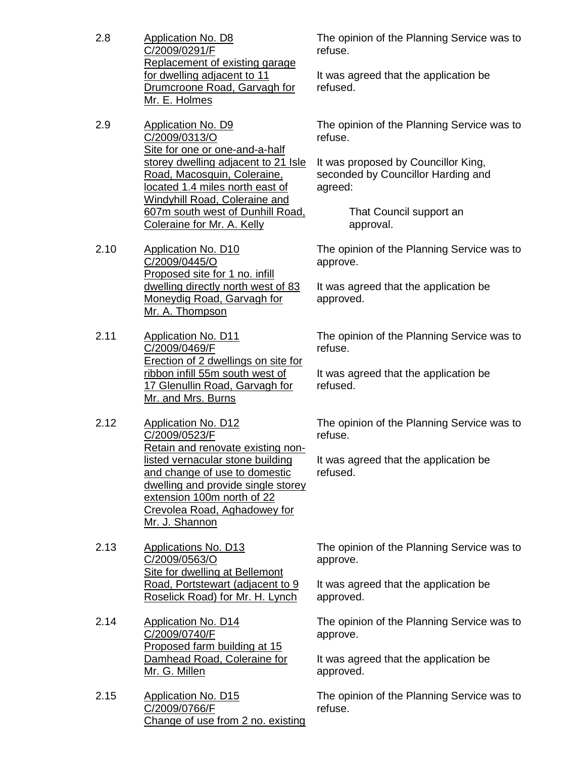- 2.8 Application No. D8 C/2009/0291/F Replacement of existing garage for dwelling adjacent to 11 Drumcroone Road, Garvagh for Mr. E. Holmes
- 2.9 Application No. D9 C/2009/0313/O Site for one or one-and-a-half storey dwelling adjacent to 21 Isle Road, Macosquin, Coleraine, located 1.4 miles north east of Windyhill Road, Coleraine and 607m south west of Dunhill Road, Coleraine for Mr. A. Kelly
- 2.10 Application No. D10 C/2009/0445/O Proposed site for 1 no. infill dwelling directly north west of 83 Moneydig Road, Garvagh for Mr. A. Thompson
- 2.11 Application No. D11 C/2009/0469/F Erection of 2 dwellings on site for ribbon infill 55m south west of 17 Glenullin Road, Garvagh for Mr. and Mrs. Burns
- 2.12 Application No. D12 C/2009/0523/F Retain and renovate existing nonlisted vernacular stone building and change of use to domestic dwelling and provide single storey extension 100m north of 22 Crevolea Road, Aghadowey for Mr. J. Shannon
- 2.13 Applications No. D13 C/2009/0563/O Site for dwelling at Bellemont Road, Portstewart (adjacent to 9 Roselick Road) for Mr. H. Lynch
- 2.14 Application No. D14 C/2009/0740/F Proposed farm building at 15 Damhead Road, Coleraine for Mr. G. Millen
- 2.15 Application No. D15 C/2009/0766/F Change of use from 2 no. existing

The opinion of the Planning Service was to refuse.

It was agreed that the application be refused.

The opinion of the Planning Service was to refuse.

It was proposed by Councillor King, seconded by Councillor Harding and agreed:

> That Council support an approval.

The opinion of the Planning Service was to approve.

It was agreed that the application be approved.

The opinion of the Planning Service was to refuse.

It was agreed that the application be refused.

The opinion of the Planning Service was to refuse.

It was agreed that the application be refused.

The opinion of the Planning Service was to approve.

It was agreed that the application be approved.

The opinion of the Planning Service was to approve.

It was agreed that the application be approved.

The opinion of the Planning Service was to refuse.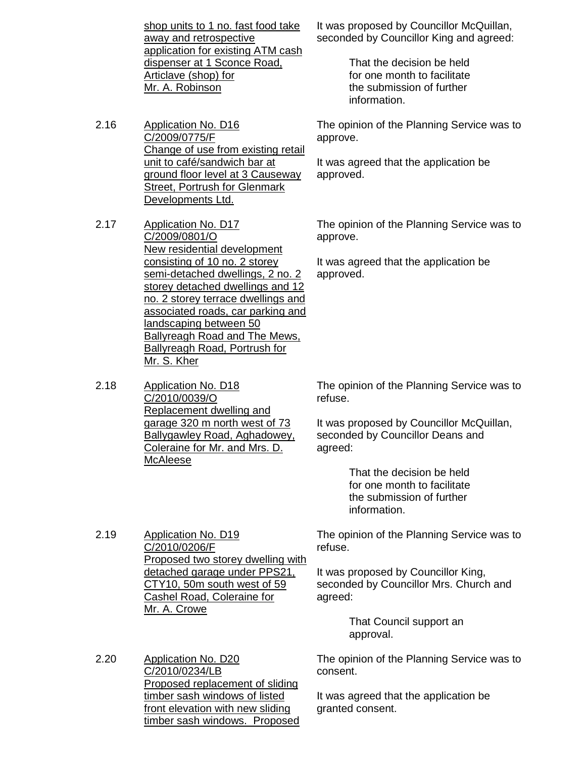shop units to 1 no. fast food take away and retrospective application for existing ATM cash dispenser at 1 Sconce Road, Articlave (shop) for Mr. A. Robinson

- 2.16 Application No. D16 C/2009/0775/F Change of use from existing retail unit to café/sandwich bar at ground floor level at 3 Causeway Street, Portrush for Glenmark Developments Ltd.
- 2.17 Application No. D17 C/2009/0801/O New residential development consisting of 10 no. 2 storey semi-detached dwellings, 2 no. 2 storey detached dwellings and 12 no. 2 storey terrace dwellings and associated roads, car parking and landscaping between 50 Ballyreagh Road and The Mews, Ballyreagh Road, Portrush for Mr. S. Kher
- 2.18 Application No. D18 C/2010/0039/O Replacement dwelling and garage 320 m north west of 73 Ballygawley Road, Aghadowey, Coleraine for Mr. and Mrs. D. McAleese

2.19 Application No. D19 C/2010/0206/F

Mr. A. Crowe

It was proposed by Councillor McQuillan, seconded by Councillor King and agreed:

> That the decision be held for one month to facilitate the submission of further information.

The opinion of the Planning Service was to approve.

It was agreed that the application be approved.

The opinion of the Planning Service was to approve.

It was agreed that the application be approved.

The opinion of the Planning Service was to refuse.

It was proposed by Councillor McQuillan, seconded by Councillor Deans and agreed:

> That the decision be held for one month to facilitate the submission of further information.

Proposed two storey dwelling with The opinion of the Planning Service was to refuse.

> It was proposed by Councillor King, seconded by Councillor Mrs. Church and agreed:

> > That Council support an approval.

2.20 Application No. D20 C/2010/0234/LB Proposed replacement of sliding timber sash windows of listed front elevation with new sliding timber sash windows. Proposed

detached garage under PPS21, CTY10, 50m south west of 59 Cashel Road, Coleraine for

> The opinion of the Planning Service was to consent.

It was agreed that the application be granted consent.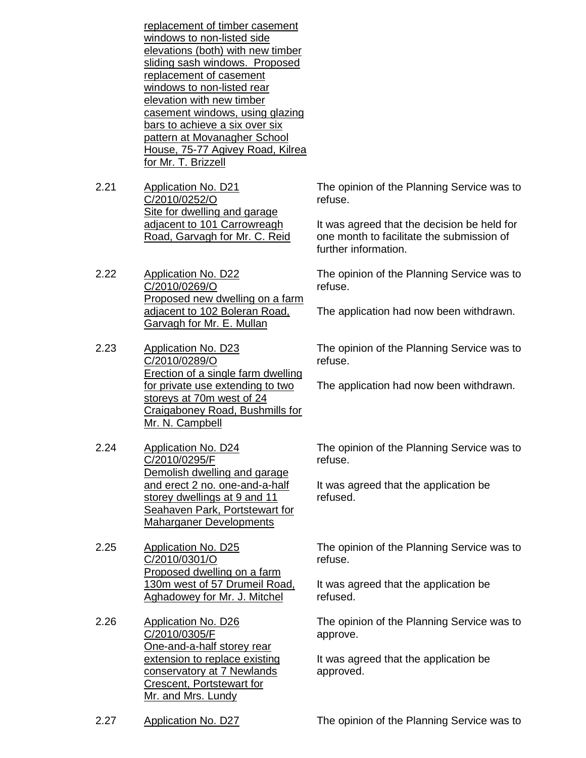replacement of timber casement windows to non-listed side elevations (both) with new timber sliding sash windows. Proposed replacement of casement windows to non-listed rear elevation with new timber casement windows, using glazing bars to achieve a six over six pattern at Movanagher School House, 75-77 Agivey Road, Kilrea for Mr. T. Brizzell

- 2.21 Application No. D21 C/2010/0252/O Site for dwelling and garage adjacent to 101 Carrowreagh Road, Garvagh for Mr. C. Reid
- 2.22 Application No. D22 C/2010/0269/O Proposed new dwelling on a farm adjacent to 102 Boleran Road, Garvagh for Mr. E. Mullan
- 2.23 Application No. D23 C/2010/0289/O Erection of a single farm dwelling for private use extending to two storeys at 70m west of 24 Craigaboney Road, Bushmills for Mr. N. Campbell
- 2.24 Application No. D24 C/2010/0295/F Demolish dwelling and garage and erect 2 no. one-and-a-half storey dwellings at 9 and 11 Seahaven Park, Portstewart for Maharganer Developments
- 2.25 Application No. D25 C/2010/0301/O Proposed dwelling on a farm 130m west of 57 Drumeil Road, Aghadowey for Mr. J. Mitchel
- 2.26 Application No. D26 C/2010/0305/F One-and-a-half storey rear extension to replace existing conservatory at 7 Newlands Crescent, Portstewart for Mr. and Mrs. Lundy

The opinion of the Planning Service was to refuse.

It was agreed that the decision be held for one month to facilitate the submission of further information.

The opinion of the Planning Service was to refuse.

The application had now been withdrawn.

The opinion of the Planning Service was to refuse.

The application had now been withdrawn.

The opinion of the Planning Service was to refuse.

It was agreed that the application be refused.

The opinion of the Planning Service was to refuse.

It was agreed that the application be refused.

The opinion of the Planning Service was to approve.

It was agreed that the application be approved.

2.27 Application No. D27 The opinion of the Planning Service was to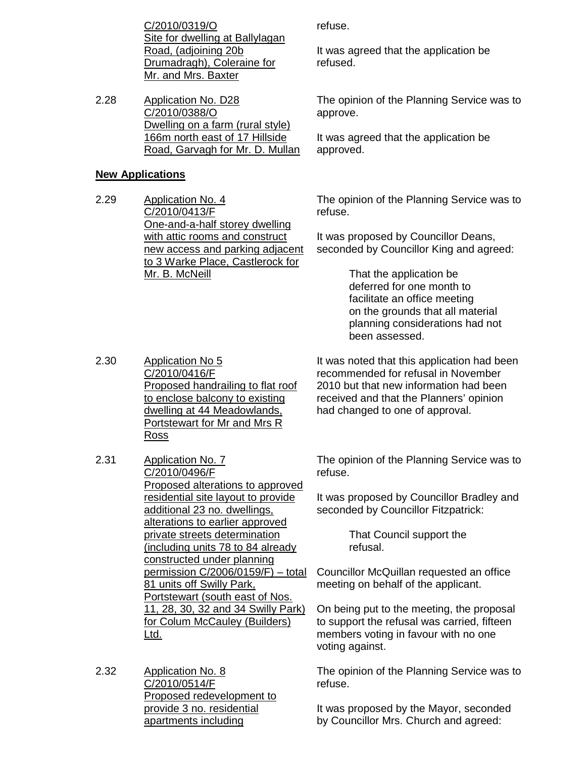C/2010/0319/O Site for dwelling at Ballylagan Road, (adjoining 20b Drumadragh), Coleraine for Mr. and Mrs. Baxter

2.28 Application No. D28 C/2010/0388/O Dwelling on a farm (rural style) 166m north east of 17 Hillside Road, Garvagh for Mr. D. Mullan

#### **New Applications**

2.29 Application No. 4 C/2010/0413/F One-and-a-half storey dwelling with attic rooms and construct new access and parking adjacent to 3 Warke Place, Castlerock for Mr. B. McNeill

refuse.

It was agreed that the application be refused.

The opinion of the Planning Service was to approve.

It was agreed that the application be approved.

The opinion of the Planning Service was to refuse.

It was proposed by Councillor Deans, seconded by Councillor King and agreed:

> That the application be deferred for one month to facilitate an office meeting on the grounds that all material planning considerations had not been assessed.

2.30 Application No 5 C/2010/0416/F Proposed handrailing to flat roof to enclose balcony to existing dwelling at 44 Meadowlands, Portstewart for Mr and Mrs R Ross

It was noted that this application had been recommended for refusal in November 2010 but that new information had been received and that the Planners' opinion had changed to one of approval.

The opinion of the Planning Service was to refuse.

It was proposed by Councillor Bradley and seconded by Councillor Fitzpatrick:

> That Council support the refusal.

Councillor McQuillan requested an office meeting on behalf of the applicant.

On being put to the meeting, the proposal to support the refusal was carried, fifteen members voting in favour with no one voting against.

The opinion of the Planning Service was to refuse.

It was proposed by the Mayor, seconded by Councillor Mrs. Church and agreed:

# 2.31 Application No. 7

C/2010/0496/F Proposed alterations to approved residential site layout to provide additional 23 no. dwellings, alterations to earlier approved private streets determination (including units 78 to 84 already constructed under planning permission C/2006/0159/F) – total 81 units off Swilly Park, Portstewart (south east of Nos. 11, 28, 30, 32 and 34 Swilly Park) for Colum McCauley (Builders) Ltd.

2.32 Application No. 8 C/2010/0514/F Proposed redevelopment to provide 3 no. residential apartments including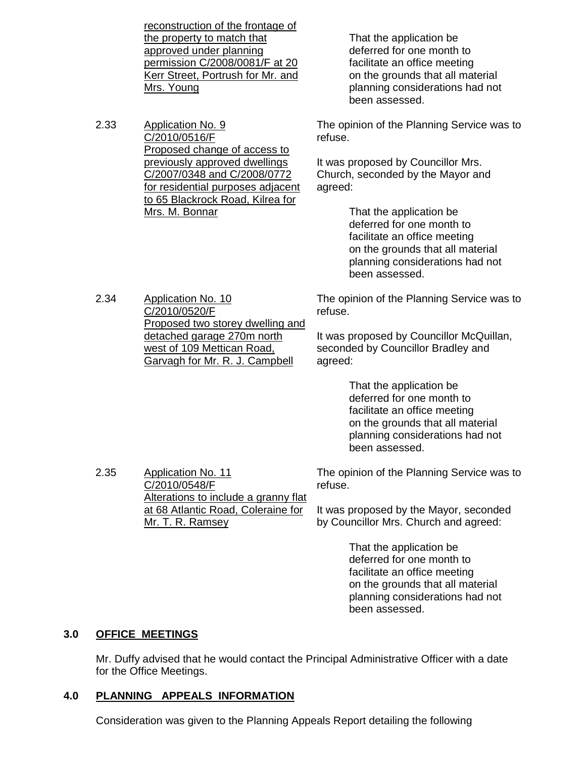reconstruction of the frontage of the property to match that approved under planning permission C/2008/0081/F at 20 Kerr Street, Portrush for Mr. and Mrs. Young

2.33 Application No. 9 C/2010/0516/F Proposed change of access to previously approved dwellings C/2007/0348 and C/2008/0772 for residential purposes adjacent to 65 Blackrock Road, Kilrea for Mrs. M. Bonnar

 That the application be deferred for one month to facilitate an office meeting on the grounds that all material planning considerations had not been assessed.

The opinion of the Planning Service was to refuse.

It was proposed by Councillor Mrs. Church, seconded by the Mayor and agreed:

> That the application be deferred for one month to facilitate an office meeting on the grounds that all material planning considerations had not been assessed.

The opinion of the Planning Service was to refuse.

It was proposed by Councillor McQuillan, seconded by Councillor Bradley and agreed:

> That the application be deferred for one month to facilitate an office meeting on the grounds that all material planning considerations had not been assessed.

The opinion of the Planning Service was to refuse.

It was proposed by the Mayor, seconded by Councillor Mrs. Church and agreed:

> That the application be deferred for one month to facilitate an office meeting on the grounds that all material planning considerations had not been assessed.

# **3.0 OFFICE MEETINGS**

 Mr. Duffy advised that he would contact the Principal Administrative Officer with a date for the Office Meetings.

#### **4.0 PLANNING APPEALS INFORMATION**

2.35 Application No. 11

C/2010/0548/F

Mr. T. R. Ramsey

Alterations to include a granny flat at 68 Atlantic Road, Coleraine for

Consideration was given to the Planning Appeals Report detailing the following

2.34 Application No. 10 C/2010/0520/F Proposed two storey dwelling and detached garage 270m north west of 109 Mettican Road, Garvagh for Mr. R. J. Campbell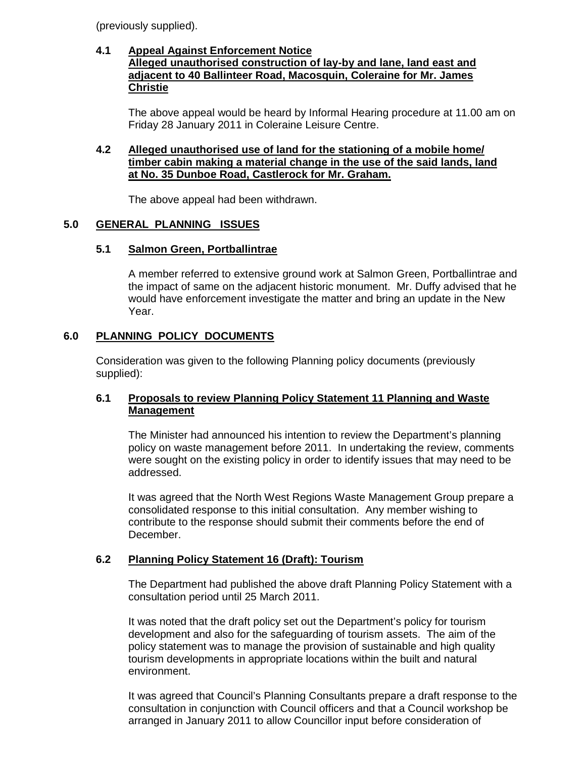(previously supplied).

#### **4.1 Appeal Against Enforcement Notice Alleged unauthorised construction of lay-by and lane, land east and adjacent to 40 Ballinteer Road, Macosquin, Coleraine for Mr. James Christie**

 The above appeal would be heard by Informal Hearing procedure at 11.00 am on Friday 28 January 2011 in Coleraine Leisure Centre.

## **4.2 Alleged unauthorised use of land for the stationing of a mobile home/ timber cabin making a material change in the use of the said lands, land at No. 35 Dunboe Road, Castlerock for Mr. Graham.**

The above appeal had been withdrawn.

# **5.0 GENERAL PLANNING ISSUES**

# **5.1 Salmon Green, Portballintrae**

A member referred to extensive ground work at Salmon Green, Portballintrae and the impact of same on the adjacent historic monument. Mr. Duffy advised that he would have enforcement investigate the matter and bring an update in the New Year.

# **6.0 PLANNING POLICY DOCUMENTS**

 Consideration was given to the following Planning policy documents (previously supplied):

# **6.1 Proposals to review Planning Policy Statement 11 Planning and Waste Management**

 The Minister had announced his intention to review the Department's planning policy on waste management before 2011. In undertaking the review, comments were sought on the existing policy in order to identify issues that may need to be addressed.

 It was agreed that the North West Regions Waste Management Group prepare a consolidated response to this initial consultation. Any member wishing to contribute to the response should submit their comments before the end of December.

# **6.2 Planning Policy Statement 16 (Draft): Tourism**

 The Department had published the above draft Planning Policy Statement with a consultation period until 25 March 2011.

 It was noted that the draft policy set out the Department's policy for tourism development and also for the safeguarding of tourism assets. The aim of the policy statement was to manage the provision of sustainable and high quality tourism developments in appropriate locations within the built and natural environment.

 It was agreed that Council's Planning Consultants prepare a draft response to the consultation in conjunction with Council officers and that a Council workshop be arranged in January 2011 to allow Councillor input before consideration of